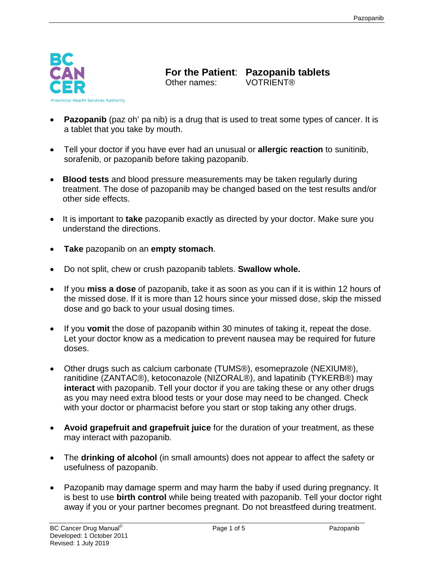

**For the Patient**: **Pazopanib tablets**  Other names:

- **Pazopanib** (paz oh' pa nib) is a drug that is used to treat some types of cancer. It is a tablet that you take by mouth.
- Tell your doctor if you have ever had an unusual or **allergic reaction** to sunitinib, sorafenib, or pazopanib before taking pazopanib.
- **Blood tests** and blood pressure measurements may be taken regularly during treatment. The dose of pazopanib may be changed based on the test results and/or other side effects.
- It is important to **take** pazopanib exactly as directed by your doctor. Make sure you understand the directions.
- **Take** pazopanib on an **empty stomach**.
- Do not split, chew or crush pazopanib tablets. **Swallow whole.**
- If you **miss a dose** of pazopanib, take it as soon as you can if it is within 12 hours of the missed dose. If it is more than 12 hours since your missed dose, skip the missed dose and go back to your usual dosing times.
- If you **vomit** the dose of pazopanib within 30 minutes of taking it, repeat the dose. Let your doctor know as a medication to prevent nausea may be required for future doses.
- Other drugs such as calcium carbonate (TUMS®), esomeprazole (NEXIUM®), ranitidine (ZANTAC®), ketoconazole (NIZORAL®), and lapatinib (TYKERB®) may **interact** with pazopanib. Tell your doctor if you are taking these or any other drugs as you may need extra blood tests or your dose may need to be changed. Check with your doctor or pharmacist before you start or stop taking any other drugs.
- **Avoid grapefruit and grapefruit juice** for the duration of your treatment, as these may interact with pazopanib.
- The **drinking of alcohol** (in small amounts) does not appear to affect the safety or usefulness of pazopanib.
- Pazopanib may damage sperm and may harm the baby if used during pregnancy. It is best to use **birth control** while being treated with pazopanib. Tell your doctor right away if you or your partner becomes pregnant. Do not breastfeed during treatment.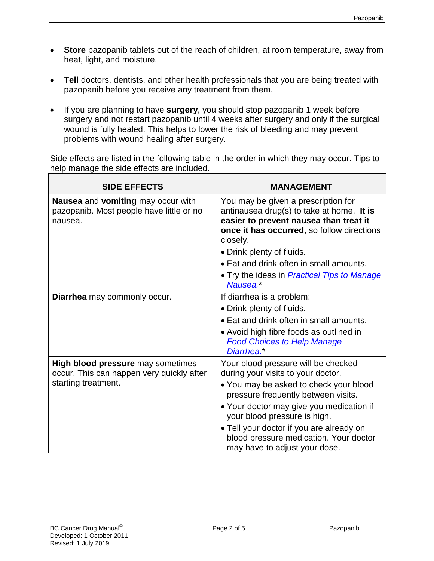- **Store** pazopanib tablets out of the reach of children, at room temperature, away from heat, light, and moisture.
- **Tell** doctors, dentists, and other health professionals that you are being treated with pazopanib before you receive any treatment from them.
- If you are planning to have **surgery**, you should stop pazopanib 1 week before surgery and not restart pazopanib until 4 weeks after surgery and only if the surgical wound is fully healed. This helps to lower the risk of bleeding and may prevent problems with wound healing after surgery.

Side effects are listed in the following table in the order in which they may occur. Tips to help manage the side effects are included.

| <b>SIDE EFFECTS</b>                                                                                   | <b>MANAGEMENT</b>                                                                                                                                                                    |
|-------------------------------------------------------------------------------------------------------|--------------------------------------------------------------------------------------------------------------------------------------------------------------------------------------|
| Nausea and vomiting may occur with<br>pazopanib. Most people have little or no<br>nausea.             | You may be given a prescription for<br>antinausea drug(s) to take at home. It is<br>easier to prevent nausea than treat it<br>once it has occurred, so follow directions<br>closely. |
|                                                                                                       | • Drink plenty of fluids.                                                                                                                                                            |
|                                                                                                       | • Eat and drink often in small amounts.                                                                                                                                              |
|                                                                                                       | • Try the ideas in <i>Practical Tips to Manage</i><br>Nausea.*                                                                                                                       |
| Diarrhea may commonly occur.                                                                          | If diarrhea is a problem:                                                                                                                                                            |
|                                                                                                       | • Drink plenty of fluids.                                                                                                                                                            |
|                                                                                                       | • Eat and drink often in small amounts.                                                                                                                                              |
|                                                                                                       | • Avoid high fibre foods as outlined in<br><b>Food Choices to Help Manage</b><br>Diarrhea.*                                                                                          |
| High blood pressure may sometimes<br>occur. This can happen very quickly after<br>starting treatment. | Your blood pressure will be checked<br>during your visits to your doctor.                                                                                                            |
|                                                                                                       | • You may be asked to check your blood<br>pressure frequently between visits.                                                                                                        |
|                                                                                                       | • Your doctor may give you medication if<br>your blood pressure is high.                                                                                                             |
|                                                                                                       | • Tell your doctor if you are already on<br>blood pressure medication. Your doctor<br>may have to adjust your dose.                                                                  |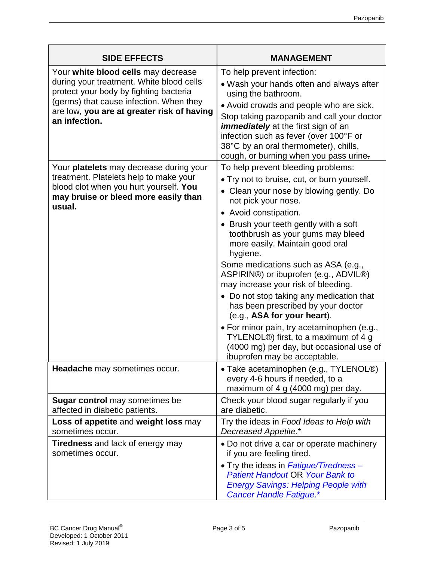| <b>SIDE EFFECTS</b>                                                                                                                                                                                                                 | <b>MANAGEMENT</b>                                                                                                                                                                                                                                                                                                                                                                                                                                                                                                                                                                                                                                                                                                   |
|-------------------------------------------------------------------------------------------------------------------------------------------------------------------------------------------------------------------------------------|---------------------------------------------------------------------------------------------------------------------------------------------------------------------------------------------------------------------------------------------------------------------------------------------------------------------------------------------------------------------------------------------------------------------------------------------------------------------------------------------------------------------------------------------------------------------------------------------------------------------------------------------------------------------------------------------------------------------|
| Your white blood cells may decrease<br>during your treatment. White blood cells<br>protect your body by fighting bacteria<br>(germs) that cause infection. When they<br>are low, you are at greater risk of having<br>an infection. | To help prevent infection:<br>• Wash your hands often and always after<br>using the bathroom.<br>• Avoid crowds and people who are sick.<br>Stop taking pazopanib and call your doctor<br><i>immediately</i> at the first sign of an<br>infection such as fever (over 100°F or<br>38°C by an oral thermometer), chills,<br>cough, or burning when you pass urine-                                                                                                                                                                                                                                                                                                                                                   |
| Your <b>platelets</b> may decrease during your<br>treatment. Platelets help to make your<br>blood clot when you hurt yourself. You<br>may bruise or bleed more easily than<br>usual.                                                | To help prevent bleeding problems:<br>• Try not to bruise, cut, or burn yourself.<br>• Clean your nose by blowing gently. Do<br>not pick your nose.<br>• Avoid constipation.<br>• Brush your teeth gently with a soft<br>toothbrush as your gums may bleed<br>more easily. Maintain good oral<br>hygiene.<br>Some medications such as ASA (e.g.,<br>ASPIRIN®) or ibuprofen (e.g., ADVIL®)<br>may increase your risk of bleeding.<br>• Do not stop taking any medication that<br>has been prescribed by your doctor<br>(e.g., ASA for your heart).<br>· For minor pain, try acetaminophen (e.g.,<br>TYLENOL®) first, to a maximum of 4 g<br>(4000 mg) per day, but occasional use of<br>ibuprofen may be acceptable. |
| Headache may sometimes occur.                                                                                                                                                                                                       | • Take acetaminophen (e.g., TYLENOL®)<br>every 4-6 hours if needed, to a<br>maximum of 4 g (4000 mg) per day.                                                                                                                                                                                                                                                                                                                                                                                                                                                                                                                                                                                                       |
| <b>Sugar control</b> may sometimes be<br>affected in diabetic patients.                                                                                                                                                             | Check your blood sugar regularly if you<br>are diabetic.                                                                                                                                                                                                                                                                                                                                                                                                                                                                                                                                                                                                                                                            |
| Loss of appetite and weight loss may<br>sometimes occur.                                                                                                                                                                            | Try the ideas in Food Ideas to Help with<br>Decreased Appetite.*                                                                                                                                                                                                                                                                                                                                                                                                                                                                                                                                                                                                                                                    |
| <b>Tiredness</b> and lack of energy may<br>sometimes occur.                                                                                                                                                                         | • Do not drive a car or operate machinery<br>if you are feeling tired.<br>• Try the ideas in Fatigue/Tiredness –<br><b>Patient Handout OR Your Bank to</b><br><b>Energy Savings: Helping People with</b><br>Cancer Handle Fatigue.*                                                                                                                                                                                                                                                                                                                                                                                                                                                                                 |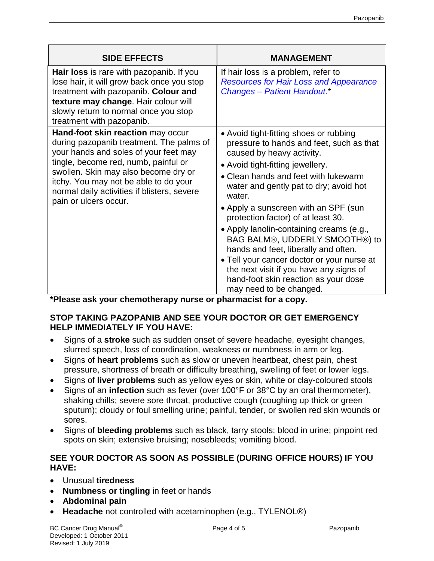| <b>SIDE EFFECTS</b>                                                                                                                                                                                                                                                                                                     | <b>MANAGEMENT</b>                                                                                                                                                                                                                                                                                                                                                                                                                                                                                                                                                                                               |
|-------------------------------------------------------------------------------------------------------------------------------------------------------------------------------------------------------------------------------------------------------------------------------------------------------------------------|-----------------------------------------------------------------------------------------------------------------------------------------------------------------------------------------------------------------------------------------------------------------------------------------------------------------------------------------------------------------------------------------------------------------------------------------------------------------------------------------------------------------------------------------------------------------------------------------------------------------|
| Hair loss is rare with pazopanib. If you<br>lose hair, it will grow back once you stop<br>treatment with pazopanib. Colour and<br>texture may change. Hair colour will<br>slowly return to normal once you stop<br>treatment with pazopanib.                                                                            | If hair loss is a problem, refer to<br><b>Resources for Hair Loss and Appearance</b><br><b>Changes - Patient Handout.</b> *                                                                                                                                                                                                                                                                                                                                                                                                                                                                                     |
| Hand-foot skin reaction may occur<br>during pazopanib treatment. The palms of<br>your hands and soles of your feet may<br>tingle, become red, numb, painful or<br>swollen. Skin may also become dry or<br>itchy. You may not be able to do your<br>normal daily activities if blisters, severe<br>pain or ulcers occur. | • Avoid tight-fitting shoes or rubbing<br>pressure to hands and feet, such as that<br>caused by heavy activity.<br>• Avoid tight-fitting jewellery.<br>• Clean hands and feet with lukewarm<br>water and gently pat to dry; avoid hot<br>water.<br>• Apply a sunscreen with an SPF (sun<br>protection factor) of at least 30.<br>• Apply lanolin-containing creams (e.g.,<br>BAG BALM®, UDDERLY SMOOTH®) to<br>hands and feet, liberally and often.<br>. Tell your cancer doctor or your nurse at<br>the next visit if you have any signs of<br>hand-foot skin reaction as your dose<br>may need to be changed. |

**\*Please ask your chemotherapy nurse or pharmacist for a copy.**

## **STOP TAKING PAZOPANIB AND SEE YOUR DOCTOR OR GET EMERGENCY HELP IMMEDIATELY IF YOU HAVE:**

- Signs of a **stroke** such as sudden onset of severe headache, eyesight changes, slurred speech, loss of coordination, weakness or numbness in arm or leg.
- Signs of **heart problems** such as slow or uneven heartbeat, chest pain, chest pressure, shortness of breath or difficulty breathing, swelling of feet or lower legs.
- Signs of **liver problems** such as yellow eyes or skin, white or clay-coloured stools
- Signs of an **infection** such as fever (over 100°F or 38°C by an oral thermometer), shaking chills; severe sore throat, productive cough (coughing up thick or green sputum); cloudy or foul smelling urine; painful, tender, or swollen red skin wounds or sores.
- Signs of **bleeding problems** such as black, tarry stools; blood in urine; pinpoint red spots on skin; extensive bruising; nosebleeds; vomiting blood.

## **SEE YOUR DOCTOR AS SOON AS POSSIBLE (DURING OFFICE HOURS) IF YOU HAVE:**

- Unusual **tiredness**
- **Numbness or tingling** in feet or hands
- **Abdominal pain**
- **Headache** not controlled with acetaminophen (e.g., TYLENOL®)